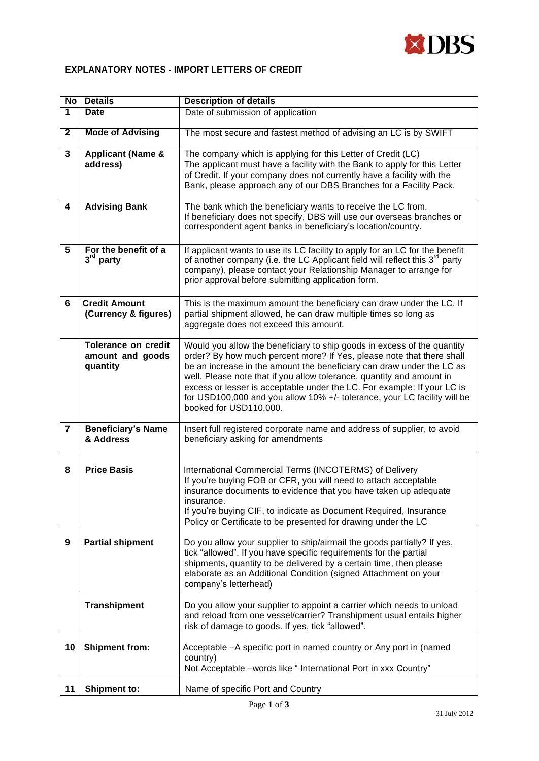

## **EXPLANATORY NOTES - IMPORT LETTERS OF CREDIT**

| N <sub>O</sub> | <b>Details</b>                                             | <b>Description of details</b>                                                                                                                                                                                                                                                                                                                                                                                                                                                       |
|----------------|------------------------------------------------------------|-------------------------------------------------------------------------------------------------------------------------------------------------------------------------------------------------------------------------------------------------------------------------------------------------------------------------------------------------------------------------------------------------------------------------------------------------------------------------------------|
| $\overline{1}$ | <b>Date</b>                                                | Date of submission of application                                                                                                                                                                                                                                                                                                                                                                                                                                                   |
| $\mathbf{2}$   | <b>Mode of Advising</b>                                    | The most secure and fastest method of advising an LC is by SWIFT                                                                                                                                                                                                                                                                                                                                                                                                                    |
| 3              | <b>Applicant (Name &amp;</b><br>address)                   | The company which is applying for this Letter of Credit (LC)<br>The applicant must have a facility with the Bank to apply for this Letter<br>of Credit. If your company does not currently have a facility with the<br>Bank, please approach any of our DBS Branches for a Facility Pack.                                                                                                                                                                                           |
| $\overline{4}$ | <b>Advising Bank</b>                                       | The bank which the beneficiary wants to receive the LC from.<br>If beneficiary does not specify, DBS will use our overseas branches or<br>correspondent agent banks in beneficiary's location/country.                                                                                                                                                                                                                                                                              |
| 5              | For the benefit of a<br>$3rd$ party                        | If applicant wants to use its LC facility to apply for an LC for the benefit<br>of another company (i.e. the LC Applicant field will reflect this 3 <sup>rd</sup> party<br>company), please contact your Relationship Manager to arrange for<br>prior approval before submitting application form.                                                                                                                                                                                  |
| 6              | <b>Credit Amount</b><br>(Currency & figures)               | This is the maximum amount the beneficiary can draw under the LC. If<br>partial shipment allowed, he can draw multiple times so long as<br>aggregate does not exceed this amount.                                                                                                                                                                                                                                                                                                   |
|                | <b>Tolerance on credit</b><br>amount and goods<br>quantity | Would you allow the beneficiary to ship goods in excess of the quantity<br>order? By how much percent more? If Yes, please note that there shall<br>be an increase in the amount the beneficiary can draw under the LC as<br>well. Please note that if you allow tolerance, quantity and amount in<br>excess or lesser is acceptable under the LC. For example: If your LC is<br>for USD100,000 and you allow 10% +/- tolerance, your LC facility will be<br>booked for USD110,000. |
| $\overline{7}$ | <b>Beneficiary's Name</b><br>& Address                     | Insert full registered corporate name and address of supplier, to avoid<br>beneficiary asking for amendments                                                                                                                                                                                                                                                                                                                                                                        |
| 8              | <b>Price Basis</b>                                         | International Commercial Terms (INCOTERMS) of Delivery<br>If you're buying FOB or CFR, you will need to attach acceptable<br>insurance documents to evidence that you have taken up adequate<br>insurance.<br>If you're buying CIF, to indicate as Document Required, Insurance<br>Policy or Certificate to be presented for drawing under the LC                                                                                                                                   |
| 9              | <b>Partial shipment</b>                                    | Do you allow your supplier to ship/airmail the goods partially? If yes,<br>tick "allowed". If you have specific requirements for the partial<br>shipments, quantity to be delivered by a certain time, then please<br>elaborate as an Additional Condition (signed Attachment on your<br>company's letterhead)                                                                                                                                                                      |
|                | <b>Transhipment</b>                                        | Do you allow your supplier to appoint a carrier which needs to unload<br>and reload from one vessel/carrier? Transhipment usual entails higher<br>risk of damage to goods. If yes, tick "allowed".                                                                                                                                                                                                                                                                                  |
| 10             | <b>Shipment from:</b>                                      | Acceptable - A specific port in named country or Any port in (named<br>country)<br>Not Acceptable -words like " International Port in xxx Country"                                                                                                                                                                                                                                                                                                                                  |
| 11             | <b>Shipment to:</b>                                        | Name of specific Port and Country                                                                                                                                                                                                                                                                                                                                                                                                                                                   |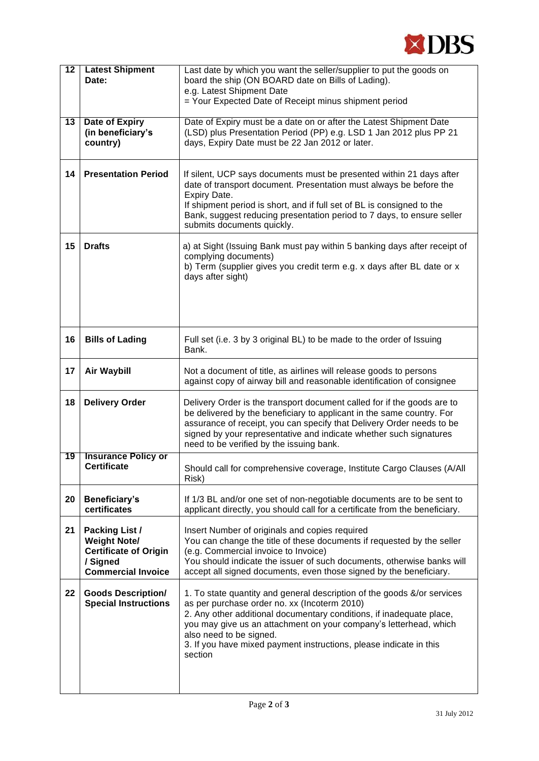

| $\overline{12}$ | <b>Latest Shipment</b><br>Date:                                                                                       | Last date by which you want the seller/supplier to put the goods on<br>board the ship (ON BOARD date on Bills of Lading).                                                                                                                                                                                                                                                        |
|-----------------|-----------------------------------------------------------------------------------------------------------------------|----------------------------------------------------------------------------------------------------------------------------------------------------------------------------------------------------------------------------------------------------------------------------------------------------------------------------------------------------------------------------------|
|                 |                                                                                                                       | e.g. Latest Shipment Date                                                                                                                                                                                                                                                                                                                                                        |
|                 |                                                                                                                       | = Your Expected Date of Receipt minus shipment period                                                                                                                                                                                                                                                                                                                            |
| $\overline{13}$ | <b>Date of Expiry</b><br>(in beneficiary's<br>country)                                                                | Date of Expiry must be a date on or after the Latest Shipment Date<br>(LSD) plus Presentation Period (PP) e.g. LSD 1 Jan 2012 plus PP 21<br>days, Expiry Date must be 22 Jan 2012 or later.                                                                                                                                                                                      |
| 14              | <b>Presentation Period</b>                                                                                            | If silent, UCP says documents must be presented within 21 days after<br>date of transport document. Presentation must always be before the<br>Expiry Date.<br>If shipment period is short, and if full set of BL is consigned to the<br>Bank, suggest reducing presentation period to 7 days, to ensure seller<br>submits documents quickly.                                     |
| 15              | <b>Drafts</b>                                                                                                         | a) at Sight (Issuing Bank must pay within 5 banking days after receipt of<br>complying documents)<br>b) Term (supplier gives you credit term e.g. x days after BL date or x<br>days after sight)                                                                                                                                                                                 |
| 16              | <b>Bills of Lading</b>                                                                                                | Full set (i.e. 3 by 3 original BL) to be made to the order of Issuing<br>Bank.                                                                                                                                                                                                                                                                                                   |
| 17              | <b>Air Waybill</b>                                                                                                    | Not a document of title, as airlines will release goods to persons<br>against copy of airway bill and reasonable identification of consignee                                                                                                                                                                                                                                     |
| 18              | <b>Delivery Order</b>                                                                                                 | Delivery Order is the transport document called for if the goods are to<br>be delivered by the beneficiary to applicant in the same country. For<br>assurance of receipt, you can specify that Delivery Order needs to be<br>signed by your representative and indicate whether such signatures<br>need to be verified by the issuing bank.                                      |
| 19              | <b>Insurance Policy or</b><br><b>Certificate</b>                                                                      | Should call for comprehensive coverage, Institute Cargo Clauses (A/All<br>Risk)                                                                                                                                                                                                                                                                                                  |
| 20              | Beneficiary's<br>certificates                                                                                         | If 1/3 BL and/or one set of non-negotiable documents are to be sent to<br>applicant directly, you should call for a certificate from the beneficiary.                                                                                                                                                                                                                            |
| 21              | <b>Packing List /</b><br><b>Weight Note/</b><br><b>Certificate of Origin</b><br>/ Signed<br><b>Commercial Invoice</b> | Insert Number of originals and copies required<br>You can change the title of these documents if requested by the seller<br>(e.g. Commercial invoice to Invoice)<br>You should indicate the issuer of such documents, otherwise banks will<br>accept all signed documents, even those signed by the beneficiary.                                                                 |
| 22              | <b>Goods Description/</b><br><b>Special Instructions</b>                                                              | 1. To state quantity and general description of the goods &/or services<br>as per purchase order no. xx (Incoterm 2010)<br>2. Any other additional documentary conditions, if inadequate place,<br>you may give us an attachment on your company's letterhead, which<br>also need to be signed.<br>3. If you have mixed payment instructions, please indicate in this<br>section |